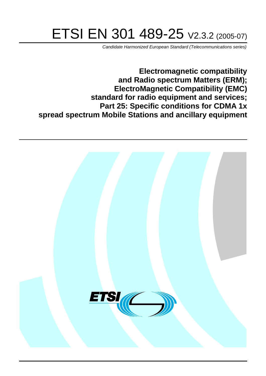# ETSI EN 301 489-25 V2.3.2 (2005-07)

Candidate Harmonized European Standard (Telecommunications series)

**Electromagnetic compatibility and Radio spectrum Matters (ERM); ElectroMagnetic Compatibility (EMC) standard for radio equipment and services; Part 25: Specific conditions for CDMA 1x spread spectrum Mobile Stations and ancillary equipment**

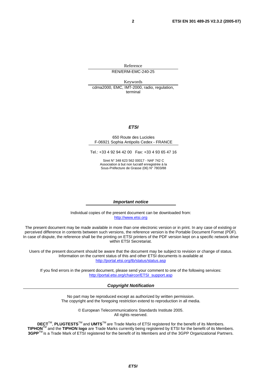Reference REN/ERM-EMC-240-25

Keywords cdma2000, EMC, IMT-2000, radio, regulation, terminal

#### **ETSI**

#### 650 Route des Lucioles F-06921 Sophia Antipolis Cedex - FRANCE

Tel.: +33 4 92 94 42 00 Fax: +33 4 93 65 47 16

Siret N° 348 623 562 00017 - NAF 742 C Association à but non lucratif enregistrée à la Sous-Préfecture de Grasse (06) N° 7803/88

#### **Important notice**

Individual copies of the present document can be downloaded from: [http://www.etsi.org](http://www.etsi.org/)

The present document may be made available in more than one electronic version or in print. In any case of existing or perceived difference in contents between such versions, the reference version is the Portable Document Format (PDF). In case of dispute, the reference shall be the printing on ETSI printers of the PDF version kept on a specific network drive within ETSI Secretariat.

Users of the present document should be aware that the document may be subject to revision or change of status. Information on the current status of this and other ETSI documents is available at <http://portal.etsi.org/tb/status/status.asp>

If you find errors in the present document, please send your comment to one of the following services: [http://portal.etsi.org/chaircor/ETSI\\_support.asp](http://portal.etsi.org/chaircor/ETSI_support.asp)

#### **Copyright Notification**

No part may be reproduced except as authorized by written permission. The copyright and the foregoing restriction extend to reproduction in all media.

> © European Telecommunications Standards Institute 2005. All rights reserved.

**DECT**TM, **PLUGTESTS**TM and **UMTS**TM are Trade Marks of ETSI registered for the benefit of its Members. **TIPHON**TM and the **TIPHON logo** are Trade Marks currently being registered by ETSI for the benefit of its Members. **3GPP**TM is a Trade Mark of ETSI registered for the benefit of its Members and of the 3GPP Organizational Partners.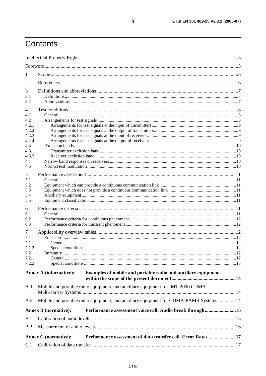# Contents

| 1              |                               |                                                                                       |  |
|----------------|-------------------------------|---------------------------------------------------------------------------------------|--|
| 2              |                               |                                                                                       |  |
|                |                               |                                                                                       |  |
| 3<br>3.1       |                               |                                                                                       |  |
| 3.2            |                               |                                                                                       |  |
| $\overline{4}$ |                               |                                                                                       |  |
| 4.1            |                               |                                                                                       |  |
| 4.2            |                               |                                                                                       |  |
| 4.2.1          |                               |                                                                                       |  |
| 4.2.2          |                               |                                                                                       |  |
| 4.2.3          |                               |                                                                                       |  |
| 4.2.4          |                               |                                                                                       |  |
| 4.3<br>4.3.1   |                               |                                                                                       |  |
| 4.3.2          |                               |                                                                                       |  |
| 4.4            |                               |                                                                                       |  |
| 4.5            |                               |                                                                                       |  |
|                |                               |                                                                                       |  |
| 5              |                               |                                                                                       |  |
| 5.1            |                               |                                                                                       |  |
| 5.2<br>5.3     |                               |                                                                                       |  |
| 5.4            |                               |                                                                                       |  |
| 5.5            |                               |                                                                                       |  |
|                |                               |                                                                                       |  |
| 6              |                               |                                                                                       |  |
| 6.1            |                               |                                                                                       |  |
| 6.2<br>6.3     |                               |                                                                                       |  |
|                |                               |                                                                                       |  |
| 7              |                               |                                                                                       |  |
| 7.1            |                               |                                                                                       |  |
| 7.1.1          |                               |                                                                                       |  |
| 7.1.2<br>7.2   | Immunity.                     |                                                                                       |  |
| 7.2.1          |                               |                                                                                       |  |
| 7.2.2          |                               |                                                                                       |  |
|                |                               |                                                                                       |  |
|                | <b>Annex A (informative):</b> | Examples of mobile and portable radio and ancillary equipment                         |  |
| A.1            |                               | Mobile and portable radio equipment, and ancillary equipment for IMT-2000 CDMA        |  |
|                |                               |                                                                                       |  |
| A.2            |                               | Mobile and portable radio equipment, and ancillary equipment for CDMA-PAMR Systems 14 |  |
|                | <b>Annex B</b> (normative):   | Performance assessment voice call. Audio break through15                              |  |
| B.1            |                               |                                                                                       |  |
| B.2            |                               |                                                                                       |  |
|                | <b>Annex C</b> (normative):   | Performance assessment of data transfer call. Error Rates17                           |  |
| C.1            |                               |                                                                                       |  |

 $\mathbf{3}$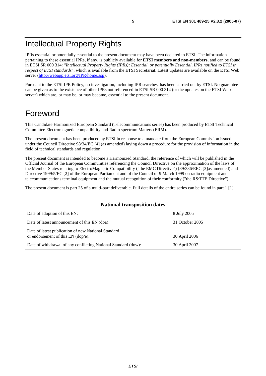# Intellectual Property Rights

IPRs essential or potentially essential to the present document may have been declared to ETSI. The information pertaining to these essential IPRs, if any, is publicly available for **ETSI members and non-members**, and can be found in ETSI SR 000 314: *"Intellectual Property Rights (IPRs); Essential, or potentially Essential, IPRs notified to ETSI in respect of ETSI standards"*, which is available from the ETSI Secretariat. Latest updates are available on the ETSI Web server ([http://webapp.etsi.org/IPR/home.asp\)](http://webapp.etsi.org/IPR/home.asp).

Pursuant to the ETSI IPR Policy, no investigation, including IPR searches, has been carried out by ETSI. No guarantee can be given as to the existence of other IPRs not referenced in ETSI SR 000 314 (or the updates on the ETSI Web server) which are, or may be, or may become, essential to the present document.

### Foreword

This Candidate Harmonized European Standard (Telecommunications series) has been produced by ETSI Technical Committee Electromagnetic compatibility and Radio spectrum Matters (ERM).

The present document has been produced by ETSI in response to a mandate from the European Commission issued under the Council Directive 98/34/EC [4] (as amended) laying down a procedure for the provision of information in the field of technical standards and regulation.

The present document is intended to become a Harmonized Standard, the reference of which will be published in the Official Journal of the European Communities referencing the Council Directive on the approximation of the laws of the Member States relating to ElectroMagnetic Compatibility ("the EMC Directive") (89/336/EEC [3]as amended) and Directive 1999/5/EC [2] of the European Parliament and of the Council of 9 March 1999 on radio equipment and telecommunications terminal equipment and the mutual recognition of their conformity ("the R&TTE Directive").

The present document is part 25 of a multi-part deliverable. Full details of the entire series can be found in part 1 [1].

| <b>National transposition dates</b>                                                         |                 |  |  |
|---------------------------------------------------------------------------------------------|-----------------|--|--|
| Date of adoption of this EN:                                                                | 8 July 2005     |  |  |
| Date of latest announcement of this EN (doa):                                               | 31 October 2005 |  |  |
| Date of latest publication of new National Standard<br>or endorsement of this $EN$ (dop/e): | 30 April 2006   |  |  |
| Date of withdrawal of any conflicting National Standard (dow):                              | 30 April 2007   |  |  |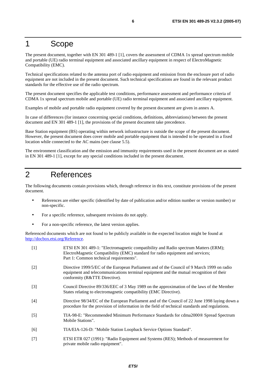### 1 Scope

The present document, together with EN 301 489-1 [1], covers the assessment of CDMA 1x spread spectrum mobile and portable (UE) radio terminal equipment and associated ancillary equipment in respect of ElectroMagnetic Compatibility (EMC).

Technical specifications related to the antenna port of radio equipment and emission from the enclosure port of radio equipment are not included in the present document. Such technical specifications are found in the relevant product standards for the effective use of the radio spectrum.

The present document specifies the applicable test conditions, performance assessment and performance criteria of CDMA 1x spread spectrum mobile and portable (UE) radio terminal equipment and associated ancillary equipment.

Examples of mobile and portable radio equipment covered by the present document are given in annex A.

In case of differences (for instance concerning special conditions, definitions, abbreviations) between the present document and EN 301 489-1 [1], the provisions of the present document take precedence.

Base Station equipment (BS) operating within network infrastructure is outside the scope of the present document. However, the present document does cover mobile and portable equipment that is intended to be operated in a fixed location while connected to the AC mains (see clause 5.5).

The environment classification and the emission and immunity requirements used in the present document are as stated in EN 301 489-1 [1], except for any special conditions included in the present document.

# 2 References

The following documents contain provisions which, through reference in this text, constitute provisions of the present document.

- References are either specific (identified by date of publication and/or edition number or version number) or non-specific.
- For a specific reference, subsequent revisions do not apply.
- For a non-specific reference, the latest version applies.

Referenced documents which are not found to be publicly available in the expected location might be found at <http://docbox.etsi.org/Reference>.

| $[1]$             | ETSI EN 301 489-1: "Electromagnetic compatibility and Radio spectrum Matters (ERM);<br>ElectroMagnetic Compatibility (EMC) standard for radio equipment and services;<br>Part 1: Common technical requirements".       |
|-------------------|------------------------------------------------------------------------------------------------------------------------------------------------------------------------------------------------------------------------|
| $\lceil 2 \rceil$ | Directive 1999/5/EC of the European Parliament and of the Council of 9 March 1999 on radio<br>equipment and telecommunications terminal equipment and the mutual recognition of their<br>conformity (R&TTE Directive). |
| $[3]$             | Council Directive 89/336/EEC of 3 May 1989 on the approximation of the laws of the Member<br>States relating to electromagnetic compatibility (EMC Directive).                                                         |
| [4]               | Directive 98/34/EC of the European Parliament and of the Council of 22 June 1998 laying down a<br>procedure for the provision of information in the field of technical standards and regulations.                      |
| $[5]$             | TIA-98-E: "Recommended Minimum Performance Standards for cdma2000® Spread Spectrum<br>Mobile Stations".                                                                                                                |
| [6]               | TIA/EIA-126-D: "Mobile Station Loopback Service Options Standard".                                                                                                                                                     |
| $[7]$             | ETSI ETR 027 (1991): "Radio Equipment and Systems (RES); Methods of measurement for<br>private mobile radio equipment".                                                                                                |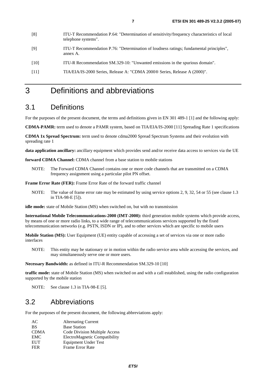| [8]  | ITU-T Recommendation P.64: "Determination of sensitivity/frequency characteristics of local<br>telephone systems". |
|------|--------------------------------------------------------------------------------------------------------------------|
| [9]  | ITU-T Recommendation P.76: "Determination of loudness ratings; fundamental principles",<br>annex A.                |
| [10] | ITU-R Recommendation SM.329-10: "Unwanted emissions in the spurious domain".                                       |
| [11] | TIA/EIA/IS-2000 Series, Release A: "CDMA 2000® Series, Release A (2000)".                                          |

# 3 Definitions and abbreviations

#### 3.1 Definitions

For the purposes of the present document, the terms and definitions given in EN 301 489-1 [1] and the following apply:

**CDMA-PAMR:** term used to denote a PAMR system, based on TIA/EIA/IS-2000 [11] Spreading Rate 1 specifications

**CDMA 1x Spread Spectrum:** term used to denote cdma2000 Spread Spectrum Systems and their evolution with spreading rate 1

**data application ancillary:** ancillary equipment which provides send and/or receive data access to services via the UE

**forward CDMA Channel:** CDMA channel from a base station to mobile stations

NOTE: The Forward CDMA Channel contains one or more code channels that are transmitted on a CDMA frequency assignment using a particular pilot PN offset.

**Frame Error Rate (FER):** Frame Error Rate of the forward traffic channel

NOTE: The value of frame error rate may be estimated by using service options 2, 9, 32, 54 or 55 (see clause 1.3) in TIA-98-E [5]).

**idle mode:** state of Mobile Station (MS) when switched on, but with no transmission

**International Mobile Telecommunications-2000 (IMT-2000):** third generation mobile systems which provide access, by means of one or more radio links, to a wide range of telecommunications services supported by the fixed telecommunication networks (e.g. PSTN, ISDN or IP), and to other services which are specific to mobile users

**Mobile Station (MS):** User Equipment (UE) entity capable of accessing a set of services via one or more radio interfaces

NOTE: This entity may be stationary or in motion within the radio service area while accessing the services, and may simultaneously serve one or more users.

**Necessary Bandwidth:** as defined in ITU-R Recommendation SM.329-10 [10]

**traffic mode:** state of Mobile Station (MS) when switched on and with a call established, using the radio configuration supported by the mobile station

NOTE: See clause 1.3 in TIA-98-E [5].

#### 3.2 Abbreviations

For the purposes of the present document, the following abbreviations apply:

| AC          | <b>Alternating Current</b>    |
|-------------|-------------------------------|
| <b>BS</b>   | <b>Base Station</b>           |
| <b>CDMA</b> | Code Division Multiple Access |
| <b>EMC</b>  | ElectroMagnetic Compatibility |
| <b>EUT</b>  | Equipment Under Test          |
| <b>FER</b>  | Frame Error Rate              |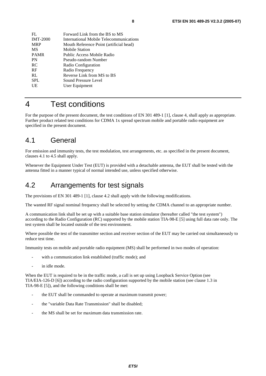| FL              | Forward Link from the BS to MS          |
|-----------------|-----------------------------------------|
| <b>IMT-2000</b> | International Mobile Telecommunications |
| MRP             | Mouth Reference Point (artificial head) |
| MS              | <b>Mobile Station</b>                   |
| PAMR            | Public Access Mobile Radio              |
| PN              | Pseudo-random Number                    |
| RC              | Radio Configuration                     |
| RF              | Radio Frequency                         |
| RL              | Reverse Link from MS to BS              |
| SPL             | Sound Pressure Level                    |
| UE              | User Equipment                          |
|                 |                                         |

# 4 Test conditions

For the purpose of the present document, the test conditions of EN 301 489-1 [1], clause 4, shall apply as appropriate. Further product related test conditions for CDMA 1x spread spectrum mobile and portable radio equipment are specified in the present document.

### 4.1 General

For emission and immunity tests, the test modulation, test arrangements, etc. as specified in the present document, clauses 4.1 to 4.5 shall apply.

Whenever the Equipment Under Test (EUT) is provided with a detachable antenna, the EUT shall be tested with the antenna fitted in a manner typical of normal intended use, unless specified otherwise.

### 4.2 Arrangements for test signals

The provisions of EN 301 489-1 [1], clause 4.2 shall apply with the following modifications.

The wanted RF signal nominal frequency shall be selected by setting the CDMA channel to an appropriate number.

A communication link shall be set up with a suitable base station simulator (hereafter called "the test system") according to the Radio Configuration (RC) supported by the mobile station TIA-98-E [5] using full data rate only. The test system shall be located outside of the test environment.

Where possible the test of the transmitter section and receiver section of the EUT may be carried out simultaneously to reduce test time.

Immunity tests on mobile and portable radio equipment (MS) shall be performed in two modes of operation:

- with a communication link established (traffic mode); and
- in idle mode.

When the EUT is required to be in the traffic mode, a call is set up using Loopback Service Option (see TIA/EIA-126-D [6]) according to the radio configuration supported by the mobile station (see clause 1.3 in TIA-98-E [5]), and the following conditions shall be met:

- the EUT shall be commanded to operate at maximum transmit power;
- the "variable Data Rate Transmission" shall be disabled;
- the MS shall be set for maximum data transmission rate.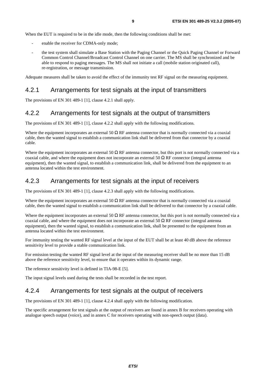When the EUT is required to be in the idle mode, then the following conditions shall be met:

- enable the receiver for CDMA-only mode;
- the test system shall simulate a Base Station with the Paging Channel or the Quick Paging Channel or Forward Common Control Channel/Broadcast Control Channel on one carrier. The MS shall be synchronized and be able to respond to paging messages. The MS shall not initiate a call (mobile station originated call), re-registration, or message transmission.

Adequate measures shall be taken to avoid the effect of the immunity test RF signal on the measuring equipment.

#### 4.2.1 Arrangements for test signals at the input of transmitters

The provisions of EN 301 489-1 [1], clause 4.2.1 shall apply.

#### 4.2.2 Arrangements for test signals at the output of transmitters

The provisions of EN 301 489-1 [1], clause 4.2.2 shall apply with the following modifications.

Where the equipment incorporates an external 50  $\Omega$  RF antenna connector that is normally connected via a coaxial cable, then the wanted signal to establish a communication link shall be delivered from that connector by a coaxial cable.

Where the equipment incorporates an external 50  $\Omega$  RF antenna connector, but this port is not normally connected via a coaxial cable, and where the equipment does not incorporate an external 50  $\Omega$  RF connector (integral antenna equipment), then the wanted signal, to establish a communication link, shall be delivered from the equipment to an antenna located within the test environment.

#### 4.2.3 Arrangements for test signals at the input of receivers

The provisions of EN 301 489-1 [1], clause 4.2.3 shall apply with the following modifications.

Where the equipment incorporates an external 50  $\Omega$  RF antenna connector that is normally connected via a coaxial cable, then the wanted signal to establish a communication link shall be delivered to that connector by a coaxial cable.

Where the equipment incorporates an external 50  $\Omega$  RF antenna connector, but this port is not normally connected via a coaxial cable, and where the equipment does not incorporate an external 50  $\Omega$  RF connector (integral antenna equipment), then the wanted signal, to establish a communication link, shall be presented to the equipment from an antenna located within the test environment.

For immunity testing the wanted RF signal level at the input of the EUT shall be at least 40 dB above the reference sensitivity level to provide a stable communication link.

For emission testing the wanted RF signal level at the input of the measuring receiver shall be no more than 15 dB above the reference sensitivity level, to ensure that it operates within its dynamic range.

The reference sensitivity level is defined in TIA-98-E [5].

The input signal levels used during the tests shall be recorded in the test report.

#### 4.2.4 Arrangements for test signals at the output of receivers

The provisions of EN 301 489-1 [1], clause 4.2.4 shall apply with the following modification.

The specific arrangement for test signals at the output of receivers are found in annex B for receivers operating with analogue speech output (voice), and in annex C for receivers operating with non-speech output (data).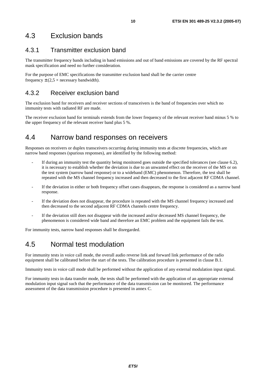## 4.3 Exclusion bands

#### 4.3.1 Transmitter exclusion band

The transmitter frequency bands including in band emissions and out of band emissions are covered by the RF spectral mask specification and need no further consideration.

For the purpose of EMC specifications the transmitter exclusion band shall be the carrier centre frequency  $\pm$  (2,5  $\times$  necessary bandwidth).

#### 4.3.2 Receiver exclusion band

The exclusion band for receivers and receiver sections of transceivers is the band of frequencies over which no immunity tests with radiated RF are made.

The receiver exclusion band for terminals extends from the lower frequency of the relevant receiver band minus 5 % to the upper frequency of the relevant receiver band plus 5 %.

### 4.4 Narrow band responses on receivers

Responses on receivers or duplex transceivers occurring during immunity tests at discrete frequencies, which are narrow band responses (spurious responses), are identified by the following method:

- If during an immunity test the quantity being monitored goes outside the specified tolerances (see clause 6.2), it is necessary to establish whether the deviation is due to an unwanted effect on the receiver of the MS or on the test system (narrow band response) or to a wideband (EMC) phenomenon. Therefore, the test shall be repeated with the MS channel frequency increased and then decreased to the first adjacent RF CDMA channel.
- If the deviation in either or both frequency offset cases disappears, the response is considered as a narrow band response.
- If the deviation does not disappear, the procedure is repeated with the MS channel frequency increased and then decreased to the second adjacent RF CDMA channels centre frequency.
- If the deviation still does not disappear with the increased and/or decreased MS channel frequency, the phenomenon is considered wide band and therefore an EMC problem and the equipment fails the test.

For immunity tests, narrow band responses shall be disregarded.

# 4.5 Normal test modulation

For immunity tests in voice call mode, the overall audio reverse link and forward link performance of the radio equipment shall be calibrated before the start of the tests. The calibration procedure is presented in clause B.1.

Immunity tests in voice call mode shall be performed without the application of any external modulation input signal.

For immunity tests in data transfer mode, the tests shall be performed with the application of an appropriate external modulation input signal such that the performance of the data transmission can be monitored. The performance assessment of the data transmission procedure is presented in annex C.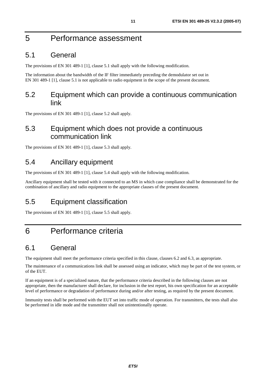# 5 Performance assessment

### 5.1 General

The provisions of EN 301 489-1 [1], clause 5.1 shall apply with the following modification.

The information about the bandwidth of the IF filter immediately preceding the demodulator set out in EN 301 489-1 [1], clause 5.1 is not applicable to radio equipment in the scope of the present document.

#### 5.2 Equipment which can provide a continuous communication link

The provisions of EN 301 489-1 [1], clause 5.2 shall apply.

### 5.3 Equipment which does not provide a continuous communication link

The provisions of EN 301 489-1 [1], clause 5.3 shall apply.

### 5.4 Ancillary equipment

The provisions of EN 301 489-1 [1], clause 5.4 shall apply with the following modification.

Ancillary equipment shall be tested with it connected to an MS in which case compliance shall be demonstrated for the combination of ancillary and radio equipment to the appropriate clauses of the present document.

### 5.5 Equipment classification

The provisions of EN 301 489-1 [1], clause 5.5 shall apply.

# 6 Performance criteria

### 6.1 General

The equipment shall meet the performance criteria specified in this clause, clauses 6.2 and 6.3, as appropriate.

The maintenance of a communications link shall be assessed using an indicator, which may be part of the test system, or of the EUT.

If an equipment is of a specialized nature, that the performance criteria described in the following clauses are not appropriate, then the manufacturer shall declare, for inclusion in the test report, his own specification for an acceptable level of performance or degradation of performance during and/or after testing, as required by the present document.

Immunity tests shall be performed with the EUT set into traffic mode of operation. For transmitters, the tests shall also be performed in idle mode and the transmitter shall not unintentionally operate.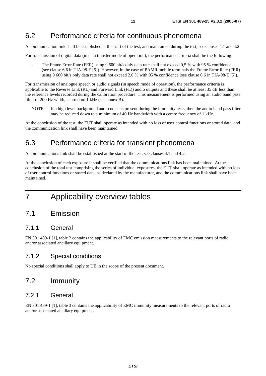### 6.2 Performance criteria for continuous phenomena

A communication link shall be established at the start of the test, and maintained during the test, see clauses 4.1 and 4.2.

For transmission of digital data (in data transfer mode of operation), the performance criteria shall be the following:

The Frame Error Rate (FER) using 9 600 bit/s only data rate shall not exceed 0,5 % with 95 % confidence (see clause 6.6 in TIA-98-E [5]). However, in the case of PAMR mobile terminals the Frame Error Rate (FER) using 9 600 bit/s only data rate shall not exceed 2,0 % with 95 % confidence (see clause 6.6 in TIA-98-E [5]).

For transmission of analogue speech or audio signals (in speech mode of operation), the performance criteria is applicable to the Reverse Link (RL) and Forward Link (FL)) audio outputs and these shall be at least 35 dB less than the reference levels recorded during the calibration procedure. This measurement is performed using an audio band pass filter of 200 Hz width, centred on 1 kHz (see annex B).

NOTE: If a high level background audio noise is present during the immunity tests, then the audio band pass filter may be reduced down to a minimum of 40 Hz bandwidth with a centre frequency of 1 kHz.

At the conclusion of the test, the EUT shall operate as intended with no loss of user control functions or stored data, and the communication link shall have been maintained.

### 6.3 Performance criteria for transient phenomena

A communications link shall be established at the start of the test, see clauses 4.1 and 4.2.

At the conclusion of each exposure it shall be verified that the communications link has been maintained. At the conclusion of the total test comprising the series of individual exposures, the EUT shall operate as intended with no loss of user control functions or stored data, as declared by the manufacturer, and the communications link shall have been maintained.

# 7 Applicability overview tables

#### 7.1 Emission

#### 7.1.1 General

EN 301 489-1 [1], table 2 contains the applicability of EMC emission measurements to the relevant ports of radio and/or associated ancillary equipment.

#### 7.1.2 Special conditions

No special conditions shall apply to UE in the scope of the present document.

### 7.2 Immunity

#### 7.2.1 General

EN 301 489-1 [1], table 3 contains the applicability of EMC immunity measurements to the relevant ports of radio and/or associated ancillary equipment.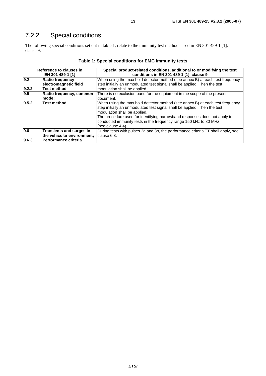# 7.2.2 Special conditions

The following special conditions set out in table 1, relate to the immunity test methods used in EN 301 489-1 [1], clause 9.

|                  | Reference to clauses in                                                                         | Special product-related conditions, additional to or modifying the test                                                                                                                   |  |
|------------------|-------------------------------------------------------------------------------------------------|-------------------------------------------------------------------------------------------------------------------------------------------------------------------------------------------|--|
|                  | EN 301 489-1 [1]                                                                                | conditions in EN 301 489-1 [1], clause 9                                                                                                                                                  |  |
| 9.2              | When using the max hold detector method (see annex B) at each test frequency<br>Radio frequency |                                                                                                                                                                                           |  |
|                  | electromagnetic field                                                                           | step initially an unmodulated test signal shall be applied. Then the test                                                                                                                 |  |
| 9.2.2            | <b>Test method</b>                                                                              | modulation shall be applied.                                                                                                                                                              |  |
| $\overline{9.5}$ | Radio frequency, common                                                                         | There is no exclusion band for the equipment in the scope of the present                                                                                                                  |  |
|                  | mode;                                                                                           | ldocument.                                                                                                                                                                                |  |
| 9.5.2            | <b>Test method</b>                                                                              | When using the max hold detector method (see annex B) at each test frequency<br>step initially an unmodulated test signal shall be applied. Then the test<br>modulation shall be applied. |  |
|                  |                                                                                                 | The procedure used for identifying narrowband responses does not apply to<br>conducted immunity tests in the frequency range 150 kHz to 80 MHz<br>(see clause 4.4).                       |  |
| 9.6              | <b>Transients and surges in</b>                                                                 | During tests with pulses 3a and 3b, the performance criteria TT shall apply, see                                                                                                          |  |
|                  | the vehicular environment;                                                                      | clause 6.3.                                                                                                                                                                               |  |
| 9.6.3            | Performance criteria                                                                            |                                                                                                                                                                                           |  |

#### **Table 1: Special conditions for EMC immunity tests**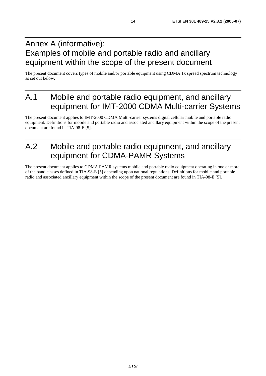# Annex A (informative): Examples of mobile and portable radio and ancillary equipment within the scope of the present document

The present document covers types of mobile and/or portable equipment using CDMA 1x spread spectrum technology as set out below.

# A.1 Mobile and portable radio equipment, and ancillary equipment for IMT-2000 CDMA Multi-carrier Systems

The present document applies to IMT-2000 CDMA Multi-carrier systems digital cellular mobile and portable radio equipment. Definitions for mobile and portable radio and associated ancillary equipment within the scope of the present document are found in TIA-98-E [5].

# A.2 Mobile and portable radio equipment, and ancillary equipment for CDMA-PAMR Systems

The present document applies to CDMA PAMR systems mobile and portable radio equipment operating in one or more of the band classes defined in TIA-98-E [5] depending upon national regulations. Definitions for mobile and portable radio and associated ancillary equipment within the scope of the present document are found in TIA-98-E [5].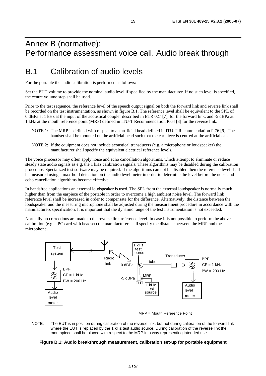# Annex B (normative): Performance assessment voice call. Audio break through

# B.1 Calibration of audio levels

For the portable the audio calibration is performed as follows:

Set the EUT volume to provide the nominal audio level if specified by the manufacturer. If no such level is specified, the centre volume step shall be used.

Prior to the test sequence, the reference level of the speech output signal on both the forward link and reverse link shall be recorded on the test instrumentation, as shown in figure B.1. The reference level shall be equivalent to the SPL of 0 dBPa at 1 kHz at the input of the acoustical coupler described in ETR 027 [7], for the forward link, and -5 dBPa at 1 kHz at the mouth reference point (MRP) defined in ITU-T Recommendation P.64 [8] for the reverse link.

- NOTE 1: The MRP is defined with respect to an artificial head defined in ITU-T Recommendation P.76 [9]. The handset shall be mounted on the artificial head such that the ear piece is centred at the artificial ear.
- NOTE 2: If the equipment does not include acoustical transducers (e.g. a microphone or loudspeaker) the manufacturer shall specify the equivalent electrical reference levels.

The voice processor may often apply noise and echo cancellation algorithms, which attempt to eliminate or reduce steady state audio signals as e.g. the 1 kHz calibration signals. These algorithms may be disabled during the calibration procedure. Specialized test software may be required. If the algorithms can not be disabled then the reference level shall be measured using a max-hold detection on the audio level meter in order to determine the level before the noise and echo cancellation algorithms become effective.

In handsfree applications an external loudspeaker is used. The SPL from the external loudspeaker is normally much higher than from the earpiece of the portable in order to overcome a high ambient noise level. The forward link reference level shall be increased in order to compensate for the difference. Alternatively, the distance between the loudspeaker and the measuring microphone shall be adjusted during the measurement procedure in accordance with the manufacturers specification. It is important that the dynamic range of the test instrumentation is not exceeded.

Normally no corrections are made to the reverse link reference level. In case it is not possible to perform the above calibration (e.g. a PC card with headset) the manufacturer shall specify the distance between the MRP and the microphone.





NOTE: The EUT is in position during calibration of the reverse link, but not during calibration of the forward link where the EUT is replaced by the 1 kHz test audio source. During calibration of the reverse link the mouthpiece shall be placed with respect to the MRP in a way representing intended use.

#### **Figure B.1: Audio breakthrough measurement, calibration set-up for portable equipment**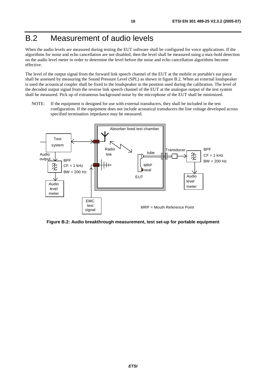# B.2 Measurement of audio levels

When the audio levels are measured during testing the EUT software shall be configured for voice applications. If the algorithms for noise and echo cancellation are not disabled, then the level shall be measured using a max-hold detection on the audio level meter in order to determine the level before the noise and echo cancellation algorithms become effective.

The level of the output signal from the forward link speech channel of the EUT at the mobile or portable's ear piece shall be assessed by measuring the Sound Pressure Level (SPL) as shown in figure B.2. When an external loudspeaker is used the acoustical coupler shall be fixed to the loudspeaker in the position used during the calibration. The level of the decoded output signal from the reverse link speech channel of the EUT at the analogue output of the test system shall be measured. Pick up of extraneous background noise by the microphone of the EUT shall be minimized.

NOTE: If the equipment is designed for use with external transducers, they shall be included in the test configuration. If the equipment does not include acoustical transducers the line voltage developed across specified termination impedance may be measured.



**Figure B.2: Audio breakthrough measurement, test set-up for portable equipment**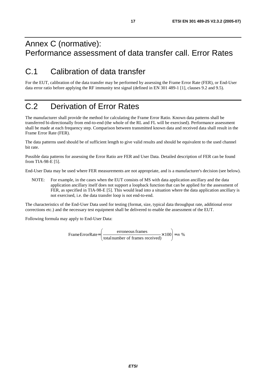# Annex C (normative): Performance assessment of data transfer call. Error Rates

# C.1 Calibration of data transfer

For the EUT, calibration of the data transfer may be performed by assessing the Frame Error Rate (FER), or End-User data error ratio before applying the RF immunity test signal (defined in EN 301 489-1 [1], clauses 9.2 and 9.5).

# C.2 Derivation of Error Rates

The manufacturer shall provide the method for calculating the Frame Error Ratio. Known data patterns shall be transferred bi-directionally from end-to-end (the whole of the RL and FL will be exercised). Performance assessment shall be made at each frequency step. Comparison between transmitted known data and received data shall result in the Frame Error Rate (FER).

The data patterns used should be of sufficient length to give valid results and should be equivalent to the used channel bit rate.

Possible data patterns for assessing the Error Ratio are FER and User Data. Detailed description of FER can be found from TIA-98-E [5].

End-User Data may be used where FER measurements are not appropriate, and is a manufacturer's decision (see below).

NOTE: For example, in the cases when the EUT consists of MS with data application ancillary and the data application ancillary itself does not support a loopback function that can be applied for the assessment of FER, as specified in TIA-98-E [5]. This would lead into a situation where the data application ancillary is not exercised, i.e. the data transfer loop is not end-to-end.

The characteristics of the End-User Data used for testing (format, size, typical data throughput rate, additional error corrections etc.) and the necessary test equipment shall be delivered to enable the assessment of the EUT.

Following formula may apply to End-User Data:

FrameErrorRate=
$$
\left(\frac{\text{erroneous frames}}{\text{total number of frames received}} \times 100\right) = n \%
$$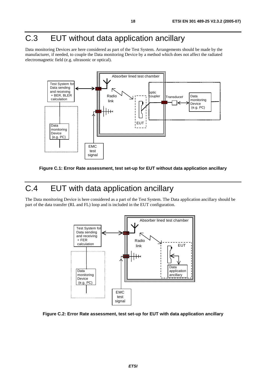# C.3 EUT without data application ancillary

Data monitoring Devices are here considered as part of the Test System. Arrangements should be made by the manufacturer, if needed, to couple the Data monitoring Device by a method which does not affect the radiated electromagnetic field (e.g. ultrasonic or optical).



**Figure C.1: Error Rate assessment, test set-up for EUT without data application ancillary** 

# C.4 EUT with data application ancillary

The Data monitoring Device is here considered as a part of the Test System. The Data application ancillary should be part of the data transfer (RL and FL) loop and is included in the EUT configuration.



**Figure C.2: Error Rate assessment, test set-up for EUT with data application ancillary**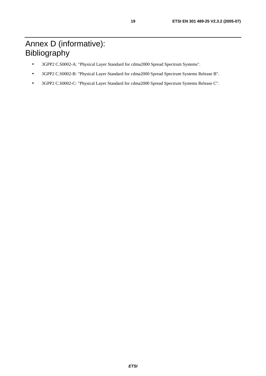# Annex D (informative): Bibliography

- 3GPP2 C.S0002-A: "Physical Layer Standard for cdma2000 Spread Spectrum Systems".
- 3GPP2 C.S0002-B: "Physical Layer Standard for cdma2000 Spread Spectrum Systems Release B".
- 3GPP2 C.S0002-C: "Physical Layer Standard for cdma2000 Spread Spectrum Systems Release C".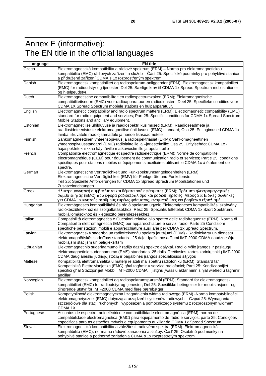# Annex E (informative): The EN title in the official languages

| Language   | <b>EN title</b>                                                                                                                                                                                                                                                                                                              |  |
|------------|------------------------------------------------------------------------------------------------------------------------------------------------------------------------------------------------------------------------------------------------------------------------------------------------------------------------------|--|
| Czech      | Elektromagnetická kompatibilita a rádiové spektrum (ERM) - Norma pro elektromagnetickou<br>kompatibilitu (EMC) rádiových zařízení a služeb - Část 25: Specifické podmínky pro pohyblivé stanice<br>a přidružené zařízení CDMA s 1x rozprostřeným spektrem                                                                    |  |
| Danish     | Elektromagnetisk kompatibilitet og radiospektrum-anliggender (ERM); Elektromagnetisk kompatibilitet<br>(EMC) for radioudstyr og tjenester; Del 25: Særlige krav til CDMA 1x Spread Spectrum mobilstationer<br>og hjælpeudstyr.                                                                                               |  |
| Dutch      | Elektromagnetische compatibiliteit en radiospectrumzaken (ERM); Elektromagnetische<br>compatibiliteitsnorm (EMC) voor radioapparatuur en radiodiensten; Deel 25: Specifieke condities voor<br>CDMA 1X Spread Spectrum mobiele stations en hulpapparatuur.                                                                    |  |
| English    | Electromagnetic compatibility and radio spectrum matters (ERM); Electromagnetic compatibility (EMC)<br>standard for radio equipment and services; Part 25: Specific conditions for CDMA 1x Spread Spectrum<br>Mobile Stations and ancillary equipment.                                                                       |  |
| Estonian   | Elektromagnetilise ühilduvuse ja raadiospektri küsimused (ERM); Raadioseadmete ja<br>raadiosideteenistuste elektromagnetilise ühilduvuse (EMC) standard; Osa 25: Eritingimused CDMA 1x<br>lairiba liikuvatele raadiojaamadele ja nende lisaseadmetele                                                                        |  |
| Finnish    | Sähkömagneettinen yhteensopivuus ja radiospektriasiat (ERM); Sähkömagneettinen<br>yhteensopivuusstandardi (EMC) radiolaitteille ja -järjestelmille; Osa 25: Erityisehdot CDMA 1x -<br>hajaspektritekniikkaa käyttäville matkaviestimille ja apulaitteille                                                                    |  |
| French     | Compatibilité électromagnétique et spectre radioélectrique (ERM); Norme de compatibilité<br>électromagnétique (CEM) pour équipement de communication radio et services; Partie 25: conditions<br>spécifiques pour stations mobiles et équipements auxiliaires utilisant le CDMA 1x à étalement de<br>spectre.                |  |
| German     | Elektromagnetische Verträglichkeit und Funkspektrumsangelegenheiten (ERM);<br>Elektromagnetische Verträglichkeit (EMV) für Funkgeräte und Funkdienste;<br>Teil 25: Spezielle Anforderungen für CDMA 1x Spread Sprectrum Mobilstationen und<br>Zusatzeinrichtungen.                                                           |  |
| Greek      | Ηλεκτρομαγνητική συμβατότητα και θέματα ραδιοφάσματος (ERM); Πρότυπο ηλεκτρομαγνητικής<br>συμβατότητας (EMC) που αφορά ραδιοεξοπλισμό και ραδιοϋπηρεσίες; Μέρος 25: Ειδικές συνθήκες<br>για CDMA 1x κινητούς σταθμούς ευρέως φάσματος, αναμεταδώτες και βοηθιτικό εξοπλισμό.                                                 |  |
| Hungarian  | Elektromágneses kompatibilitási és rádió spektrum ügyek; Elektomágneses kompatibilitási szabvány<br>rádiókészülékekhez és szolgáltatásokhoz; Rész 25: Speciális feltételek CDMA 1x Szórt Spektrumú<br>mobilállomásokhoz és kiegészíto berendezésekhez.                                                                       |  |
| Italian    | Compatibilità elettromagnetica e Questioni relative allo spettro delle radiofrequenze (ERM); Norma di<br>Compatibilità elettromagnetica (EMC) per apparecchiature e servizi radio; Parte 25 Condizioni<br>specifiche per stazioni mobili e apparecchiature ausiliarie per CDMA 1x Spread Spectrum.                           |  |
| Latvian    | Elektromagnētiskā saderība un radiofrekvenču spektra jautājumi (ERM) - Radioiekārtu un dienestu<br>elektromagnētiskās saderības standarts - 25.daļa: Īpašie nosacījumi IMT-2000 CDMA daudznesēju<br>mobilajām stacijām un palīgiekārtām                                                                                      |  |
| Lithuanian | Elektromagnetinio suderinamumo ir radijo dažnių spektro dalykai. Radijo ryšio įrangos ir paslaugų<br>elektromagnetinio suderinamumo (EMS) standartas. 25 dalis. Trečiosios kartos korinių tinklų IMT-2000<br>CDMA daugianešlių judriųjų stočių ir pagalbinės įrangos specialiosios sąlygos                                   |  |
| Maltese    | Kompatibilità elettromanjetika u materji relatati ma' spettru radjofoniku (ERM); Standard ta"<br>Kompatibilità ElettroManjetika (EMC) għal tagħmir u servizzi radjofonici; Parti 25: Kondizzjonijiet<br>specifici ghal Stazzjonijiet Mobbli IMT-2000 CDMA li jistghu jwasslu aktar minn sinjal wiehed u taghmir<br>ancillari |  |
| Norwegian  | Elektromagnetisk kompatibilitet og radiospektrumspørsmål (ERM); Standard for elektromagnetisk<br>kompatibilitet (EMC) for radioutstyr og tjenester; Del 25: Spesifikke betingelser for mobilstasjoner og<br>tilhørende utstyr for IMT-2000 CDMA med flere bærebølger                                                         |  |
| Polish     | Kompatybilność elektromagnetyczna i zagadnienia widma radiowego (ERM) -Norma kompatybilności<br>elektromagnetycznej (EMC) dotycząca urządzeń i systemów radiowych – Część 25: Wymagania<br>szczegółowe dla stacji ruchomych i wyposażenia pomocniczego systemu z rozproszonym widmem<br>CDMA 1X                              |  |
| Portuguese | Assuntos de espectro radioeléctrico e compatibilidade electromagnética (ERM); norma de<br>compatibilidade electromagnética (EMC) para equipamento de rádio e serviços; parte 25: Condições<br>especificas para as estações móveis e equipamento auxiliar do CDMA 1x Spread Spectrum.                                         |  |
| Slovak     | Elektromagnetická kompatibilita a záležitosti rádiového spektra (ERM). Elektromagnetická<br>kompatibilita (EMC), norma na rádiové zariadenia a služby. Časť 25: Osobitné podmienky na<br>pohyblivé stanice a podporné zariadenia CDMA s 1x rozprestretým spektrom                                                            |  |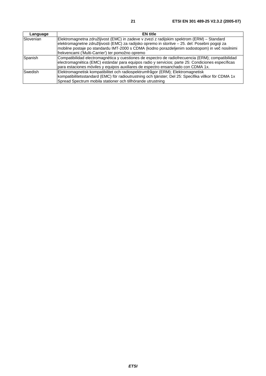| Language  | <b>EN</b> title                                                                                                                                                                                                                                                                                                                                     |
|-----------|-----------------------------------------------------------------------------------------------------------------------------------------------------------------------------------------------------------------------------------------------------------------------------------------------------------------------------------------------------|
| Slovenian | Elektromagnetna združljivost (EMC) in zadeve v zvezi z radijskim spektrom (ERM) – Standard<br>elektromagnetne združljivosti (EMC) za radijsko opremo in storitve - 25. del: Posebni pogoji za<br>mobilne postaje po standardu IMT-2000 s CDMA (kodno porazdeljenim sodostopom) in več nosilnimi<br>frekvencami ('Multi-Carrier') ter pomožno opremo |
| Spanish   | Compatibilidad electromagnética y cuestiones de espectro de radiofrecuencia (ERM); compatibilidad<br>electromagnética (EMC) estándar para equipos radio y servicios; parte 25: Condiciones específicas<br>para estaciones móviles y equipos auxiliares de espectro ensanchado con CDMA 1x.                                                          |
| Swedish   | Elektromagnetisk kompatibilitet och radiospektrumfrågor (ERM); Elektromagnetisk<br>kompatibilitetsstandard (EMC) för radioutrustning och tjänster; Del 25: Specifika villkor för CDMA 1x<br>Spread Spectrum mobila stationer och tillhörande utrustning                                                                                             |